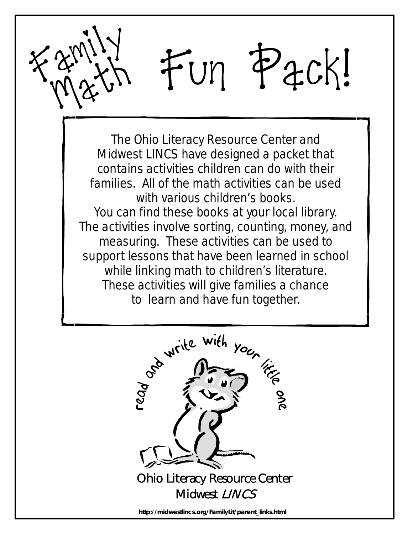

The Ohio Literacy Resource Center and Midwest LINCS have designed a packet that contains activities children can do with their families. All of the math activities can be used with various children's books. You can find these books at your local library. The activities involve sorting, counting, money, and measuring. These activities can be used to support lessons that have been learned in school while linking math to children's literature. These activities will give families a chance

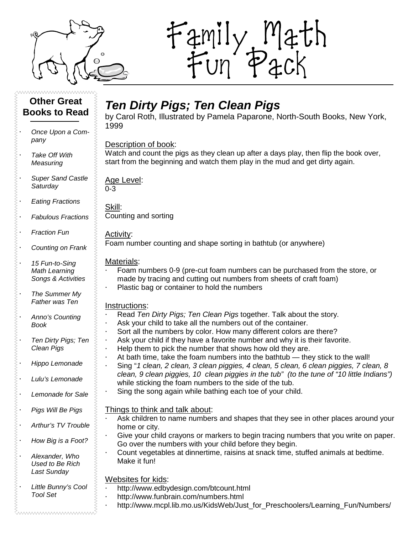



|                                            | wwwwwwwwwwww                                          |                                                                                                                                                                                                                            |  |  |  |  |
|--------------------------------------------|-------------------------------------------------------|----------------------------------------------------------------------------------------------------------------------------------------------------------------------------------------------------------------------------|--|--|--|--|
| <b>Other Great</b><br><b>Books to Read</b> |                                                       | Ten Dirty Pigs; Ten Clean Pigs<br>by Carol Roth, Illustrated by Pamela Paparone, North-South Books, New York,                                                                                                              |  |  |  |  |
|                                            | Once Upon a Com-<br>pany                              | 1999<br>Description of book:                                                                                                                                                                                               |  |  |  |  |
|                                            | Take Off With<br>Measuring                            | Watch and count the pigs as they clean up after a days play, then flip the book over,<br>start from the beginning and watch them play in the mud and get dirty again.                                                      |  |  |  |  |
|                                            | <b>Super Sand Castle</b><br>Saturday                  | Age Level:<br>$0 - 3$                                                                                                                                                                                                      |  |  |  |  |
|                                            | <b>Eating Fractions</b>                               | Skill:                                                                                                                                                                                                                     |  |  |  |  |
|                                            | <b>Fabulous Fractions</b>                             | Counting and sorting                                                                                                                                                                                                       |  |  |  |  |
|                                            | <b>Fraction Fun</b>                                   | Activity:                                                                                                                                                                                                                  |  |  |  |  |
|                                            | Counting on Frank                                     | Foam number counting and shape sorting in bathtub (or anywhere)                                                                                                                                                            |  |  |  |  |
|                                            | 15 Fun-to-Sing<br>Math Learning<br>Songs & Activities | Materials:<br>Foam numbers 0-9 (pre-cut foam numbers can be purchased from the store, or<br>made by tracing and cutting out numbers from sheets of craft foam)                                                             |  |  |  |  |
|                                            | The Summer My<br>Father was Ten                       | Plastic bag or container to hold the numbers<br>Instructions:                                                                                                                                                              |  |  |  |  |
|                                            | Anno's Counting<br>Book                               | Read Ten Dirty Pigs; Ten Clean Pigs together. Talk about the story.<br>Ask your child to take all the numbers out of the container.<br>Sort all the numbers by color. How many different colors are there?                 |  |  |  |  |
|                                            | Ten Dirty Pigs; Ten<br>Clean Pigs                     | Ask your child if they have a favorite number and why it is their favorite.<br>Help them to pick the number that shows how old they are.<br>At bath time, take the foam numbers into the bathtub - they stick to the wall! |  |  |  |  |
|                                            | Hippo Lemonade                                        | Sing "1 clean, 2 clean, 3 clean piggies, 4 clean, 5 clean, 6 clean piggies, 7 clean, 8                                                                                                                                     |  |  |  |  |
|                                            | Lulu's Lemonade                                       | clean, 9 clean piggies, 10 clean piggies in the tub" (to the tune of "10 little Indians")<br>while sticking the foam numbers to the side of the tub.                                                                       |  |  |  |  |
|                                            | Lemonade for Sale                                     | Sing the song again while bathing each toe of your child.                                                                                                                                                                  |  |  |  |  |
|                                            | Pigs Will Be Pigs                                     | Things to think and talk about:<br>Ask children to name numbers and shapes that they see in other places around your                                                                                                       |  |  |  |  |
|                                            | Arthur's TV Trouble                                   | home or city.<br>Give your child crayons or markers to begin tracing numbers that you write on paper.                                                                                                                      |  |  |  |  |
|                                            | How Big is a Foot?                                    | Go over the numbers with your child before they begin.                                                                                                                                                                     |  |  |  |  |
|                                            | Alexander, Who<br>Used to Be Rich<br>Last Sunday      | Count vegetables at dinnertime, raisins at snack time, stuffed animals at bedtime.<br>Make it fun!                                                                                                                         |  |  |  |  |
|                                            | Little Bunny's Cool<br><b>Tool Set</b>                | Websites for kids:<br>http://www.edbydesign.com/btcount.html<br>http://www.funbrain.com/numbers.html<br>http://www.mcpl.lib.mo.us/KidsWeb/Just_for_Preschoolers/Learning_Fun/Numbers/                                      |  |  |  |  |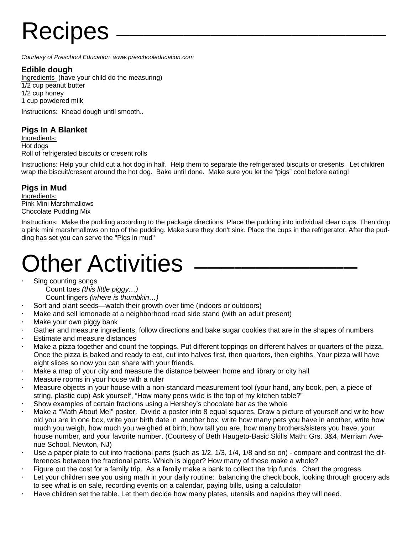# **Recipes**

*Courtesy of Preschool Education www.preschooleducation.com*

#### **Edible dough**

Ingredients (have your child do the measuring) 1/2 cup peanut butter 1/2 cup honey 1 cup powdered milk

Instructions: Knead dough until smooth..

#### **Pigs In A Blanket**

Ingredients: Hot dogs Roll of refrigerated biscuits or cresent rolls

Instructions: Help your child cut a hot dog in half. Help them to separate the refrigerated biscuits or cresents. Let children wrap the biscuit/cresent around the hot dog. Bake until done. Make sure you let the "pigs" cool before eating!

#### **Pigs in Mud**

Ingredients: Pink Mini Marshmallows Chocolate Pudding Mix

Instructions: Make the pudding according to the package directions. Place the pudding into individual clear cups. Then drop a pink mini marshmallows on top of the pudding. Make sure they don't sink. Place the cups in the refrigerator. After the pudding has set you can serve the "Pigs in mud"

# **Other Activities**

- Sing counting songs
	- Count toes *(this little piggy…)*
	- Count fingers *(where is thumbkin…)*
- Sort and plant seeds—watch their growth over time (indoors or outdoors)
- ! Make and sell lemonade at a neighborhood road side stand (with an adult present)
- Make your own piggy bank
- ! Gather and measure ingredients, follow directions and bake sugar cookies that are in the shapes of numbers
- **Estimate and measure distances**
- ! Make a pizza together and count the toppings. Put different toppings on different halves or quarters of the pizza. Once the pizza is baked and ready to eat, cut into halves first, then quarters, then eighths. Your pizza will have eight slices so now you can share with your friends.
- Make a map of your city and measure the distance between home and library or city hall
- Measure rooms in your house with a ruler
- ! Measure objects in your house with a non-standard measurement tool (your hand, any book, pen, a piece of string, plastic cup) Ask yourself, "How many pens wide is the top of my kitchen table?"
- Show examples of certain fractions using a Hershey's chocolate bar as the whole
- Make a "Math About Me!" poster. Divide a poster into 8 equal squares. Draw a picture of yourself and write how old you are in one box, write your birth date in another box, write how many pets you have in another, write how much you weigh, how much you weighed at birth, how tall you are, how many brothers/sisters you have, your house number, and your favorite number. (Courtesy of Beth Haugeto-Basic Skills Math: Grs. 3&4, Merriam Avenue School, Newton, NJ)
- Use a paper plate to cut into fractional parts (such as 1/2, 1/3, 1/4, 1/8 and so on) compare and contrast the differences between the fractional parts. Which is bigger? How many of these make a whole?
- Figure out the cost for a family trip. As a family make a bank to collect the trip funds. Chart the progress.
- Let your children see you using math in your daily routine: balancing the check book, looking through grocery ads to see what is on sale, recording events on a calendar, paying bills, using a calculator
- Have children set the table. Let them decide how many plates, utensils and napkins they will need.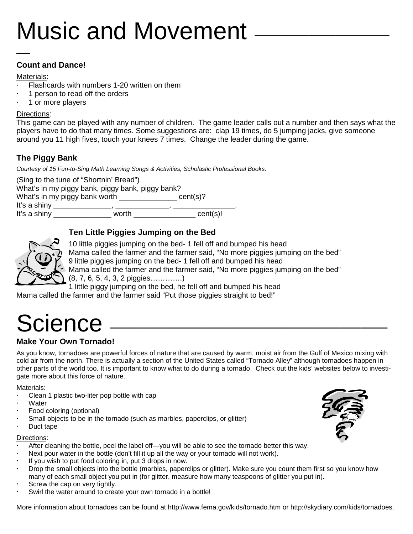# Music and Movement

### — **Count and Dance!**

#### Materials:

- ! Flashcards with numbers 1-20 written on them
- 1 person to read off the orders
- 1 or more players

#### Directions:

This game can be played with any number of children. The game leader calls out a number and then says what the players have to do that many times. Some suggestions are: clap 19 times, do 5 jumping jacks, give someone around you 11 high fives, touch your knees 7 times. Change the leader during the game.

### **The Piggy Bank**

*Courtesy of 15 Fun-to-Sing Math Learning Songs & Activities, Scholastic Professional Books.* 

(Sing to the tune of "Shortnin' Bread") What's in my piggy bank, piggy bank, piggy bank? What's in my piggy bank worth \_\_\_\_\_\_\_\_\_\_\_\_\_\_ cent(s)? It's a shiny \_\_\_\_\_\_\_\_\_\_\_\_\_\_, \_\_\_\_\_\_\_\_\_\_\_\_\_, \_\_\_\_\_\_\_\_\_\_\_\_\_\_\_. It's a shiny \_\_\_\_\_\_\_\_\_\_\_\_\_\_\_\_\_\_ worth \_\_\_\_\_\_\_\_\_\_\_\_\_\_\_\_\_\_\_ cent(s)!

### **Ten Little Piggies Jumping on the Bed**



10 little piggies jumping on the bed- 1 fell off and bumped his head Mama called the farmer and the farmer said, "No more piggies jumping on the bed" 9 little piggies jumping on the bed- 1 fell off and bumped his head Mama called the farmer and the farmer said, "No more piggies jumping on the bed" (8, 7, 6, 5, 4, 3, 2 piggies………….) 1 little piggy jumping on the bed, he fell off and bumped his head

Mama called the farmer and the farmer said "Put those piggies straight to bed!"

# Science

#### **Make Your Own Tornado!**

As you know, tornadoes are powerful forces of nature that are caused by warm, moist air from the Gulf of Mexico mixing with cold air from the north. There is actually a section of the United States called "Tornado Alley" although tornadoes happen in other parts of the world too. It is important to know what to do during a tornado. Check out the kids' websites below to investigate more about this force of nature.

#### Materials:

- Clean 1 plastic two-liter pop bottle with cap
- **Water**
- Food coloring (optional)
- $\cdot$  Small objects to be in the tornado (such as marbles, paperclips, or glitter)
- Duct tape

#### Directions:

- ! After cleaning the bottle, peel the label off—you will be able to see the tornado better this way.
- Next pour water in the bottle (don't fill it up all the way or your tornado will not work).
- If you wish to put food coloring in, put 3 drops in now.
- ! Drop the small objects into the bottle (marbles, paperclips or glitter). Make sure you count them first so you know how many of each small object you put in (for glitter, measure how many teaspoons of glitter you put in).
- Screw the cap on very tightly.
- Swirl the water around to create your own tornado in a bottle!

More information about tornadoes can be found at <http://www.fema.gov/kids/tornado.htm> or <http://skydiary.com/kids/tornadoes.>

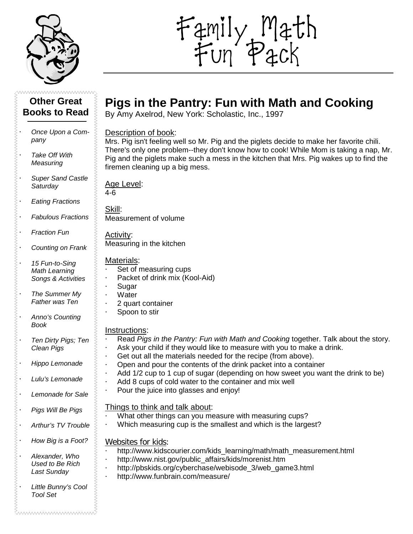

Family Math

#### wwwwwwwwwwy **Other Great Pigs in the Pantry: Fun with Math and Cooking Books to Read**  By Amy Axelrod, New York: Scholastic, Inc., 1997 ! *Once Upon a Com-*Description of book: *pany*  Mrs. Pig isn't feeling well so Mr. Pig and the piglets decide to make her favorite chili. There's only one problem--they don't know how to cook! While Mom is taking a nap, Mr. ! *Take Off With*  Pig and the piglets make such a mess in the kitchen that Mrs. Pig wakes up to find the *Measuring*  firemen cleaning up a big mess. ! *Super Sand Castle*  **NNNNNNNNNNNNNN** Age Level: *Saturday*  4-6 ! *Eating Fractions*  Skill: ! *Fabulous Fractions*  Measurement of volume ! *Fraction Fun*  Activity: Measuring in the kitchen ! *Counting on Frank*  Materials: ! *15 Fun-to-Sing*  Set of measuring cups *Math Learning*  . Packet of drink mix (Kool-Aid) *Songs & Activities*  · Sugar ! *The Summer My*  . Water *Father was Ten*  2 quart container Spoon to stir ! *Anno's Counting Book*  Instructions: ! Read *Pigs in the Pantry: Fun with Math and Cooking* together. Talk about the story. ! *Ten Dirty Pigs; Ten*  Ask your child if they would like to measure with you to make a drink. *Clean Pigs*  Get out all the materials needed for the recipe (from above). ! *Hippo Lemonade*  ! Open and pour the contents of the drink packet into a container  $\cdot$  Add 1/2 cup to 1 cup of sugar (depending on how sweet you want the drink to be) ! *Lulu's Lemonade*  Add 8 cups of cold water to the container and mix well Pour the juice into glasses and enjoy! ! *Lemonade for Sale*  Things to think and talk about: ! *Pigs Will Be Pigs*  What other things can you measure with measuring cups? Which measuring cup is the smallest and which is the largest? ! *Arthur's TV Trouble*  **NNNNNNNNNNNNN** ! *How Big is a Foot?*  Websites for kids: ! [http://www.kidscourier.com/kids\\_learning/math/math\\_measurement.html](http://www.kidscourier.com/kids_learning/math/math_measurement.html) ! *Alexander, Who*  ! [http://www.nist.gov/public\\_affairs/kids/morenist.htm](http://www.nist.gov/public_affairs/kids/morenist.htm) *Used to Be Rich*  ! [http://pbskids.org/cyberchase/webisode\\_3/web\\_game3.html](http://pbskids.org/cyberchase/webisode_3/web_game3.html)  *Last Sunday*  http://www.funbrain.com/measure/ ! *Little Bunny's Cool Tool Set*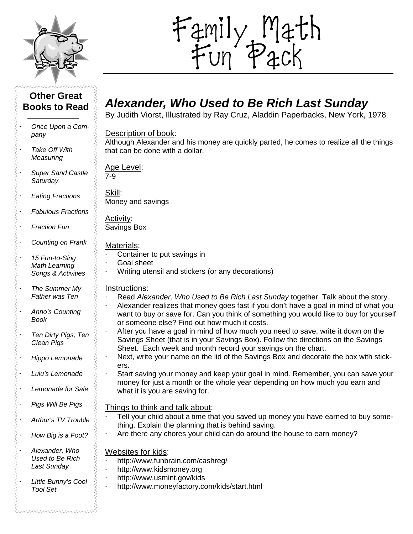

Family Math

### mmmmmmmmmm **Other Great**  www.www.www.www.w **Books to Read**  ! *Once Upon a Company*  ! *Take Off With Measuring*  ! *Super Sand Castle Saturday*  ! *Eating Fractions*  ! *Fabulous Fractions*

! *Fraction Fun* 

! *Counting on Frank* 

! *15 Fun-to-Sing Math Learning Songs & Activities* 

! *The Summer My Father was Ten* 

! *Anno's Counting Book*  ! *Ten Dirty Pigs; Ten Clean Pigs* 

! *Hippo Lemonade* 

! *Lulu's Lemonade* 

! *Lemonade for Sale* 

! *Pigs Will Be Pigs* 

! *Arthur's TV Trouble*  ! *How Big is a Foot?* 

! *Alexander, Who Used to Be Rich Last Sunday* 

! *Little Bunny's Cool Tool Set* 

## *Alexander, Who Used to Be Rich Last Sunday*

By Judith Viorst, Illustrated by Ray Cruz, Aladdin Paperbacks, New York, 1978

### Description of book:

Although Alexander and his money are quickly parted, he comes to realize all the things that can be done with a dollar.

| Age Level:<br>$7 - 9$                                                                                                                                                                                                                                                                                                                                                                                                                                                                                                                                                                                                                                                                                                                                                                                                                                                           |
|---------------------------------------------------------------------------------------------------------------------------------------------------------------------------------------------------------------------------------------------------------------------------------------------------------------------------------------------------------------------------------------------------------------------------------------------------------------------------------------------------------------------------------------------------------------------------------------------------------------------------------------------------------------------------------------------------------------------------------------------------------------------------------------------------------------------------------------------------------------------------------|
| Skill:<br>Money and savings                                                                                                                                                                                                                                                                                                                                                                                                                                                                                                                                                                                                                                                                                                                                                                                                                                                     |
| Activity:<br>Savings Box                                                                                                                                                                                                                                                                                                                                                                                                                                                                                                                                                                                                                                                                                                                                                                                                                                                        |
| Materials:<br>Container to put savings in<br>Goal sheet<br>Writing utensil and stickers (or any decorations)                                                                                                                                                                                                                                                                                                                                                                                                                                                                                                                                                                                                                                                                                                                                                                    |
| Instructions:<br>Read Alexander, Who Used to Be Rich Last Sunday together. Talk about the story.<br>Alexander realizes that money goes fast if you don't have a goal in mind of what you<br>want to buy or save for. Can you think of something you would like to buy for yourself<br>or someone else? Find out how much it costs.<br>After you have a goal in mind of how much you need to save, write it down on the<br>Savings Sheet (that is in your Savings Box). Follow the directions on the Savings<br>Sheet. Each week and month record your savings on the chart.<br>Next, write your name on the lid of the Savings Box and decorate the box with stick-<br>ers.<br>Start saving your money and keep your goal in mind. Remember, you can save your<br>money for just a month or the whole year depending on how much you earn and<br>what it is you are saving for. |
| Things to think and talk about:<br>Tell your child about a time that you saved up money you have earned to buy some-<br>thing. Explain the planning that is behind saving.<br>Are there any chores your child can do around the house to earn money?                                                                                                                                                                                                                                                                                                                                                                                                                                                                                                                                                                                                                            |
| Websites for kids:<br>http://www.funbrain.com/cashreg/<br>http://www.kidsmoney.org<br>http://www.usmint.gov/kids<br>http://www.moneyfactory.com/kids/start.html                                                                                                                                                                                                                                                                                                                                                                                                                                                                                                                                                                                                                                                                                                                 |